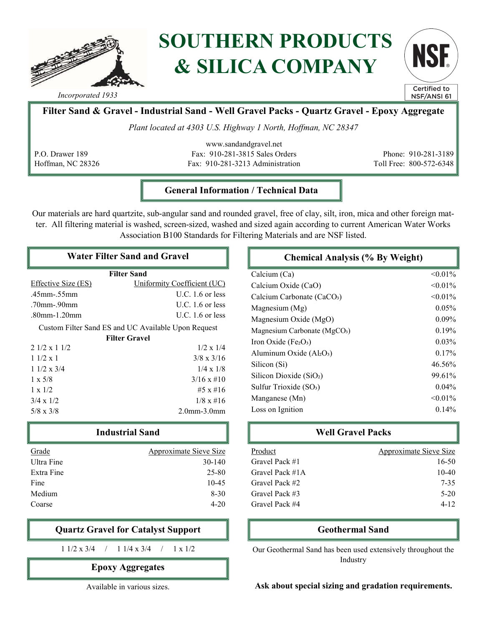

# SOUTHERN PRODUCTS & SILICA COMPANY



Incorporated 1933

# Filter Sand & Gravel - Industrial Sand - Well Gravel Packs - Quartz Gravel - Epoxy Aggregate

Plant located at 4303 U.S. Highway 1 North, Hoffman, NC 28347

P.O. Drawer 189 Hoffman, NC 28326

www.sandandgravel.net Fax: 910-281-3815 Sales Orders Fax: 910-281-3213 Administration

Phone: 910-281-3189 Toll Free: 800-572-6348

### General Information / Technical Data

Our materials are hard quartzite, sub-angular sand and rounded gravel, free of clay, silt, iron, mica and other foreign matter. All filtering material is washed, screen-sized, washed and sized again according to current American Water Works Association B100 Standards for Filtering Materials and are NSF listed.

## Water Filter Sand and Gravel

| <b>Filter Sand</b>                                  |                             |  |
|-----------------------------------------------------|-----------------------------|--|
| Effective Size (ES)                                 | Uniformity Coefficient (UC) |  |
| .45mm-.55mm                                         | U.C. $1.6$ or less          |  |
| .70mm-.90mm                                         | $U.C. 1.6$ or less          |  |
| .80mm-1.20mm                                        | $U.C. 1.6$ or less          |  |
| Custom Filter Sand ES and UC Available Upon Request |                             |  |
| <b>Filter Gravel</b>                                |                             |  |
| $2.1/2 \times 1.1/2$                                | $1/2 \times 1/4$            |  |
| $11/2 \times 1$                                     | $3/8 \times 3/16$           |  |
| $11/2 \times 3/4$                                   | $1/4 \times 1/8$            |  |
| $1 \times 5/8$                                      | $3/16 \times \text{\#}10$   |  |
| $1 \times 1/2$                                      | $#5 \times #16$             |  |
| $3/4 \times 1/2$                                    | $1/8 \times \text{\#}16$    |  |
| $5/8 \times 3/8$                                    | $2.0mm-3.0mm$               |  |

| <b>Industrial Sand</b> |                        |
|------------------------|------------------------|
| Grade                  | Approximate Sieve Size |
| Ultra Fine             | $30-140$               |
| Extra Fine             | 25-80                  |
| Fine                   | $10-45$                |
| Medium                 | $8 - 30$               |
| Coarse                 | $4 - 20$               |

## Quartz Gravel for Catalyst Support

1 1/2 x 3/4 / 1 1/4 x 3/4 / 1 x 1/2

## Epoxy Aggregates

Available in various sizes.

| <b>Chemical Analysis (% By Weight)</b>       |            |
|----------------------------------------------|------------|
| Calcium (Ca)                                 | $< 0.01\%$ |
| Calcium Oxide (CaO)                          | $< 0.01\%$ |
| Calcium Carbonate (CaCO <sub>3</sub> )       | $< 0.01\%$ |
| Magnesium (Mg)                               | 0.05%      |
| Magnesium Oxide (MgO)                        | $0.09\%$   |
| Magnesium Carbonate (MgCO <sub>3</sub> )     | 0.19%      |
| Iron Oxide (Fe <sub>2</sub> O <sub>3</sub> ) | $0.03\%$   |
| Aluminum Oxide $(AI2O3)$                     | 0.17%      |
| Silicon (Si)                                 | 46.56%     |
| Silicon Dioxide $(SiO2)$                     | 99.61%     |
| Sulfur Trioxide (SO <sub>3</sub> )           | $0.04\%$   |
| Manganese (Mn)                               | $< 0.01\%$ |
| Loss on Ignition                             | $0.14\%$   |

# Well Gravel Packs

| Product         | Approximate Sieve Size |
|-----------------|------------------------|
| Gravel Pack #1  | $16 - 50$              |
| Gravel Pack #1A | 10-40                  |
| Gravel Pack #2  | 7-35                   |
| Gravel Pack #3  | 5-20                   |
| Gravel Pack #4  | $4 - 12$               |

### Geothermal Sand

Our Geothermal Sand has been used extensively throughout the Industry

#### Ask about special sizing and gradation requirements.